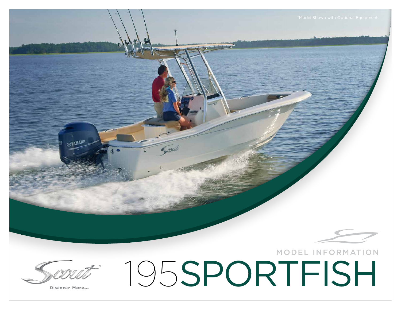